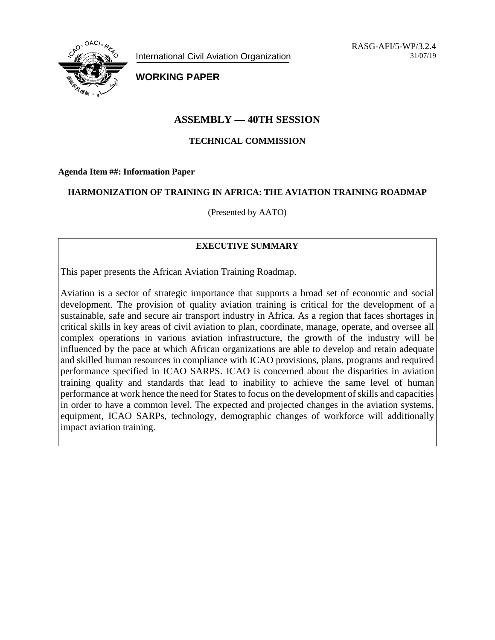

International Civil Aviation Organization

RASG-AFI/5-WP/3.2.4 31/07/19

**WORKING PAPER**

# **ASSEMBLY — 40TH SESSION**

## **TECHNICAL COMMISSION**

**Agenda Item ##: Information Paper**

### **HARMONIZATION OF TRAINING IN AFRICA: THE AVIATION TRAINING ROADMAP**

(Presented by AATO)

# **EXECUTIVE SUMMARY**

This paper presents the African Aviation Training Roadmap.

Aviation is a sector of strategic importance that supports a broad set of economic and social development. The provision of quality aviation training is critical for the development of a sustainable, safe and secure air transport industry in Africa. As a region that faces shortages in critical skills in key areas of civil aviation to plan, coordinate, manage, operate, and oversee all complex operations in various aviation infrastructure, the growth of the industry will be influenced by the pace at which African organizations are able to develop and retain adequate and skilled human resources in compliance with ICAO provisions, plans, programs and required performance specified in ICAO SARPS. ICAO is concerned about the disparities in aviation training quality and standards that lead to inability to achieve the same level of human performance at work hence the need for States to focus on the development of skills and capacities in order to have a common level. The expected and projected changes in the aviation systems, equipment, ICAO SARPs, technology, demographic changes of workforce will additionally impact aviation training.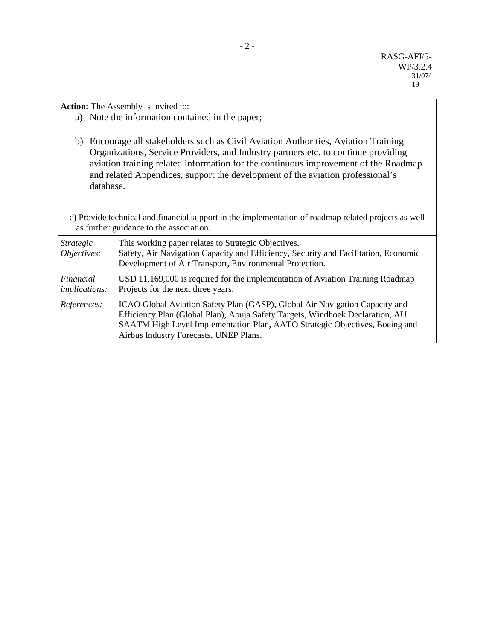**Action:** The Assembly is invited to:

- a) Note the information contained in the paper;
- b) Encourage all stakeholders such as Civil Aviation Authorities, Aviation Training Organizations, Service Providers, and Industry partners etc. to continue providing aviation training related information for the continuous improvement of the Roadmap and related Appendices, support the development of the aviation professional's database.

 c) Provide technical and financial support in the implementation of roadmap related projects as well as further guidance to the association.

| <i>Strategic</i><br>Objectives:   | This working paper relates to Strategic Objectives.<br>Safety, Air Navigation Capacity and Efficiency, Security and Facilitation, Economic<br>Development of Air Transport, Environmental Protection.                                                                                 |
|-----------------------------------|---------------------------------------------------------------------------------------------------------------------------------------------------------------------------------------------------------------------------------------------------------------------------------------|
| Financial<br><i>implications:</i> | USD 11,169,000 is required for the implementation of Aviation Training Roadmap<br>Projects for the next three years.                                                                                                                                                                  |
| References:                       | ICAO Global Aviation Safety Plan (GASP), Global Air Navigation Capacity and<br>Efficiency Plan (Global Plan), Abuja Safety Targets, Windhoek Declaration, AU<br>SAATM High Level Implementation Plan, AATO Strategic Objectives, Boeing and<br>Airbus Industry Forecasts, UNEP Plans. |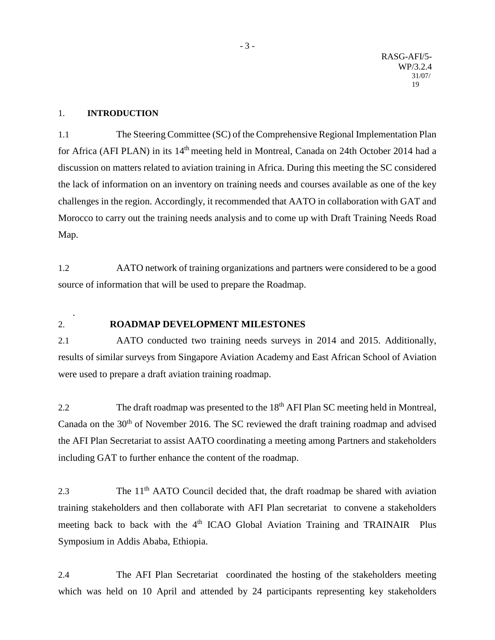#### 1. **INTRODUCTION**

.

1.1 The Steering Committee (SC) of the Comprehensive Regional Implementation Plan for Africa (AFI PLAN) in its 14<sup>th</sup> meeting held in Montreal, Canada on 24th October 2014 had a discussion on matters related to aviation training in Africa. During this meeting the SC considered the lack of information on an inventory on training needs and courses available as one of the key challenges in the region. Accordingly, it recommended that AATO in collaboration with GAT and Morocco to carry out the training needs analysis and to come up with Draft Training Needs Road Map.

1.2 AATO network of training organizations and partners were considered to be a good source of information that will be used to prepare the Roadmap.

### 2. **ROADMAP DEVELOPMENT MILESTONES**

2.1 AATO conducted two training needs surveys in 2014 and 2015. Additionally, results of similar surveys from Singapore Aviation Academy and East African School of Aviation were used to prepare a draft aviation training roadmap.

2.2 The draft roadmap was presented to the 18<sup>th</sup> AFI Plan SC meeting held in Montreal, Canada on the  $30<sup>th</sup>$  of November 2016. The SC reviewed the draft training roadmap and advised the AFI Plan Secretariat to assist AATO coordinating a meeting among Partners and stakeholders including GAT to further enhance the content of the roadmap.

2.3 The  $11<sup>th</sup>$  AATO Council decided that, the draft roadmap be shared with aviation training stakeholders and then collaborate with AFI Plan secretariat to convene a stakeholders meeting back to back with the  $4<sup>th</sup>$  ICAO Global Aviation Training and TRAINAIR Plus Symposium in Addis Ababa, Ethiopia.

2.4 The AFI Plan Secretariat coordinated the hosting of the stakeholders meeting which was held on 10 April and attended by 24 participants representing key stakeholders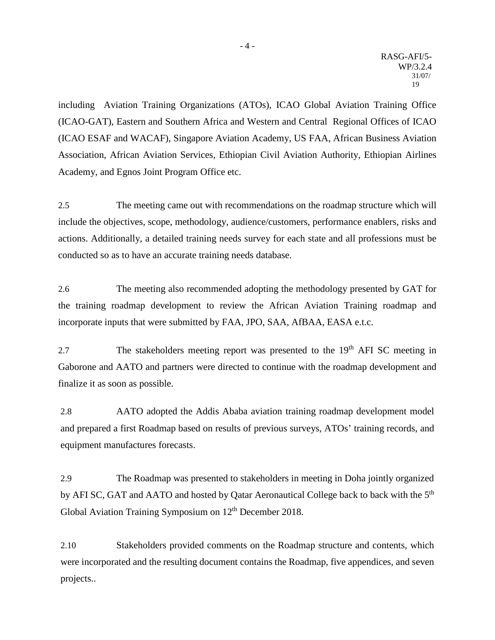including Aviation Training Organizations (ATOs), ICAO Global Aviation Training Office (ICAO-GAT), Eastern and Southern Africa and Western and Central Regional Offices of ICAO (ICAO ESAF and WACAF), Singapore Aviation Academy, US FAA, African Business Aviation Association, African Aviation Services, Ethiopian Civil Aviation Authority, Ethiopian Airlines Academy, and Egnos Joint Program Office etc.

2.5 The meeting came out with recommendations on the roadmap structure which will include the objectives, scope, methodology, audience/customers, performance enablers, risks and actions. Additionally, a detailed training needs survey for each state and all professions must be conducted so as to have an accurate training needs database.

2.6 The meeting also recommended adopting the methodology presented by GAT for the training roadmap development to review the African Aviation Training roadmap and incorporate inputs that were submitted by FAA, JPO, SAA, AfBAA, EASA e.t.c.

2.7 The stakeholders meeting report was presented to the 19<sup>th</sup> AFI SC meeting in Gaborone and AATO and partners were directed to continue with the roadmap development and finalize it as soon as possible.

2.8 AATO adopted the Addis Ababa aviation training roadmap development model and prepared a first Roadmap based on results of previous surveys, ATOs' training records, and equipment manufactures forecasts.

2.9 The Roadmap was presented to stakeholders in meeting in Doha jointly organized by AFI SC, GAT and AATO and hosted by Qatar Aeronautical College back to back with the 5<sup>th</sup> Global Aviation Training Symposium on  $12<sup>th</sup>$  December 2018.

2.10 Stakeholders provided comments on the Roadmap structure and contents, which were incorporated and the resulting document contains the Roadmap, five appendices, and seven projects..